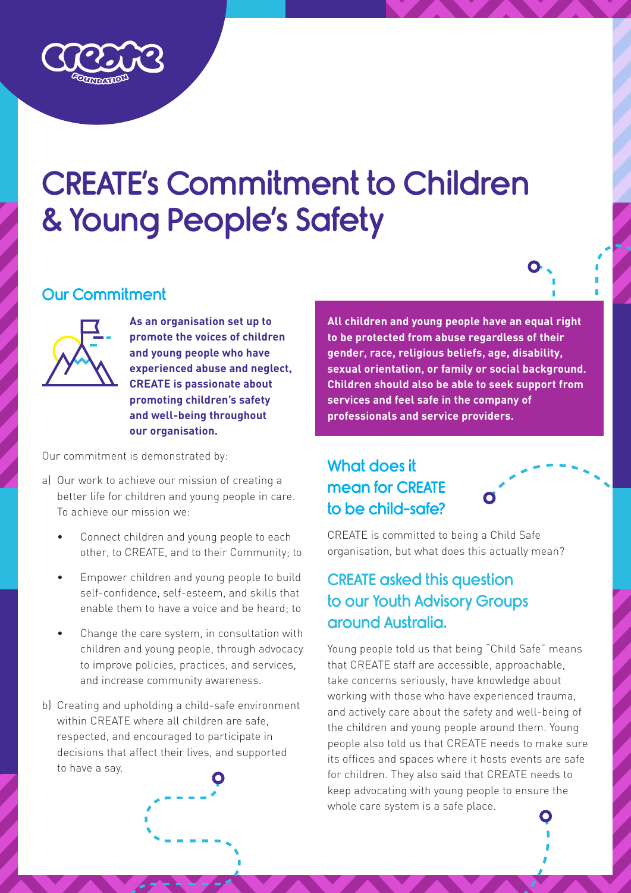# CREATE's Commitment to Children & Young People's Safety

#### Our Commitment



**As an organisation set up to promote the voices of children and young people who have experienced abuse and neglect, CREATE is passionate about promoting children's safety and well-being throughout our organisation.**

Our commitment is demonstrated by:

- a) Our work to achieve our mission of creating a better life for children and young people in care. To achieve our mission we:
	- Connect children and young people to each other, to CREATE, and to their Community; to
	- Empower children and young people to build self-confidence, self-esteem, and skills that enable them to have a voice and be heard; to
	- Change the care system, in consultation with children and young people, through advocacy to improve policies, practices, and services, and increase community awareness.
- b) Creating and upholding a child-safe environment within CREATE where all children are safe, respected, and encouraged to participate in decisions that affect their lives, and supported to have a say.

**All children and young people have an equal right to be protected from abuse regardless of their gender, race, religious beliefs, age, disability, sexual orientation, or family or social background. Children should also be able to seek support from services and feel safe in the company of professionals and service providers.**

#### What does it mean for CREATE to be child-safe?



CREATE is committed to being a Child Safe organisation, but what does this actually mean?

#### CREATE asked this question to our Youth Advisory Groups around Australia.

Young people told us that being "Child Safe" means that CREATE staff are accessible, approachable, take concerns seriously, have knowledge about working with those who have experienced trauma, and actively care about the safety and well-being of the children and young people around them. Young people also told us that CREATE needs to make sure its offices and spaces where it hosts events are safe for children. They also said that CREATE needs to keep advocating with young people to ensure the whole care system is a safe place.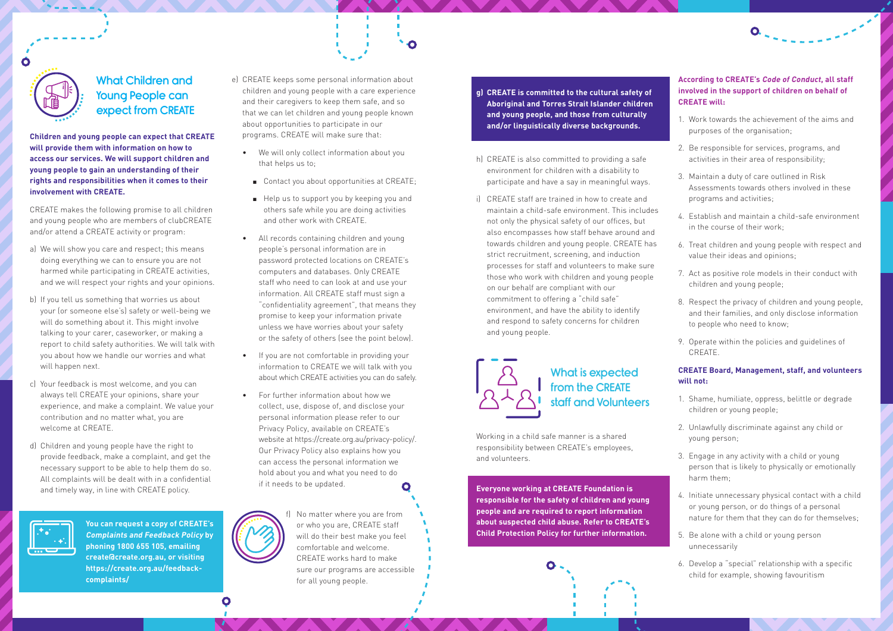e) CREATE keeps some personal information about children and young people with a care experience and their caregivers to keep them safe, and so that we can let children and young people known about opportunities to participate in our programs. CREATE will make sure that:

 $\bullet$ 

- We will only collect information about you that helps us to;
	- Contact you about opportunities at CREATE;
	- Help us to support you by keeping you and others safe while you are doing activities and other work with CREATE.
- All records containing children and young people's personal information are in password protected locations on CREATE's computers and databases. Only CREATE staff who need to can look at and use your information. All CREATE staff must sign a "confidentiality agreement", that means they promise to keep your information private unless we have worries about your safety or the safety of others (see the point below).
- If you are not comfortable in providing your information to CREATE we will talk with you about which CREATE activities you can do safely.
- For further information about how we collect, use, dispose of, and disclose your personal information please refer to our Privacy Policy, available on CREATE's website at https://create.org.au/privacy-policy/. Our Privacy Policy also explains how you can access the personal information we hold about you and what you need to do if it needs to be updated.



**Children and young people can expect that CREATE will provide them with information on how to access our services. We will support children and young people to gain an understanding of their rights and responsibilities when it comes to their involvement with CREATE.**

CREATE makes the following promise to all children and young people who are members of clubCREATE and/or attend a CREATE activity or program:

- a) We will show you care and respect; this means doing everything we can to ensure you are not harmed while participating in CREATE activities, and we will respect your rights and your opinions.
- b) If you tell us something that worries us about your (or someone else's) safety or well-being we will do something about it. This might involve talking to your carer, caseworker, or making a report to child safety authorities. We will talk with you about how we handle our worries and what will happen next.
- c) Your feedback is most welcome, and you can always tell CREATE your opinions, share your experience, and make a complaint. We value your contribution and no matter what, you are welcome at CREATE.
- d) Children and young people have the right to provide feedback, make a complaint, and get the necessary support to be able to help them do so. All complaints will be dealt with in a confidential and timely way, in line with CREATE policy.



#### **According to CREATE's Code of Conduct, all staff involved in the support of children on behalf of CREATE will:**

 $\bullet$ 

- 1. Work towards the achievement of the aims and purposes of the organisation;
- 2. Be responsible for services, programs, and activities in their area of responsibility;
- 3. Maintain a duty of care outlined in Risk Assessments towards others involved in these programs and activities;
- 4. Establish and maintain a child-safe environment in the course of their work;
- 6. Treat children and young people with respect and value their ideas and opinions;
- 7. Act as positive role models in their conduct with children and young people;
- 8. Respect the privacy of children and young people, and their families, and only disclose information to people who need to know;
- 9. Operate within the policies and guidelines of CREATE.

#### **CREATE Board, Management, staff, and volunteers will not:**

- 1. Shame, humiliate, oppress, belittle or degrade children or young people;
- 2. Unlawfully discriminate against any child or young person;
- 3. Engage in any activity with a child or young person that is likely to physically or emotionally harm them;
- 4. Initiate unnecessary physical contact with a child or young person, or do things of a personal nature for them that they can do for themselves;
- 5. Be alone with a child or young person unnecessarily
- 6. Develop a "special" relationship with a specific child for example, showing favouritism

## What Children and Young People can expect from CREATE

**You can request a copy of CREATE's Complaints and Feedback Policy by phoning 1800 655 105, emailing create@create.org.au, or visiting https://create.org.au/feedbackcomplaints/**

f) No matter where you are from or who you are, CREATE staff will do their best make you feel comfortable and welcome. CREATE works hard to make sure our programs are accessible for all young people.

**Everyone working at CREATE Foundation is responsible for the safety of children and young people and are required to report information about suspected child abuse. Refer to CREATE's Child Protection Policy for further information.**



Working in a child safe manner is a shared responsibility between CREATE's employees, and volunteers.

- **g) CREATE is committed to the cultural safety of Aboriginal and Torres Strait Islander children and young people, and those from culturally and/or linguistically diverse backgrounds.**
- h) CREATE is also committed to providing a safe environment for children with a disability to participate and have a say in meaningful ways.
- i) CREATE staff are trained in how to create and maintain a child-safe environment. This includes not only the physical safety of our offices, but also encompasses how staff behave around and towards children and young people. CREATE has strict recruitment, screening, and induction processes for staff and volunteers to make sure those who work with children and young people on our behalf are compliant with our commitment to offering a "child safe" environment, and have the ability to identify and respond to safety concerns for children and young people.



## What is expected from the CREATE staff and Volunteers